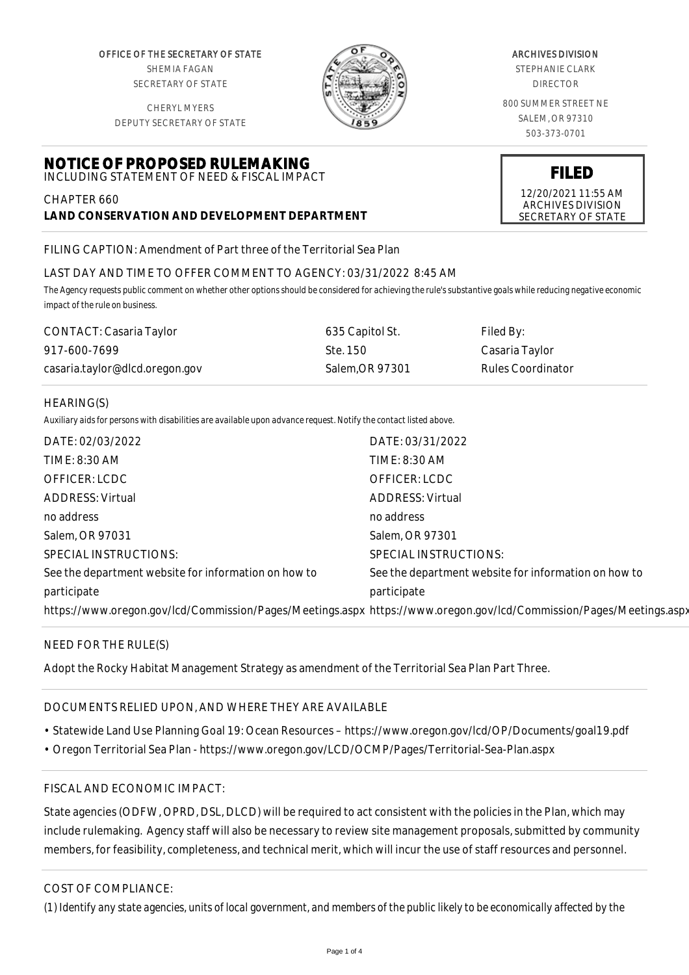OFFICE OF THE SECRETARY OF STATE SHEMIA FAGAN SECRETARY OF STATE

CHERYL MYERS DEPUTY SECRETARY OF STATE

**NOTICE OF PROPOSED RULEMAKING** INCLUDING STATEMENT OF NEED & FISCAL IMPACT



#### ARCHIVES DIVISION

STEPHANIE CLARK DIRECTOR

800 SUMMER STREET NE SALEM, OR 97310 503-373-0701

**FILED**

12/20/2021 11:55 AM ARCHIVES DIVISION SECRETARY OF STATE

FILING CAPTION: Amendment of Part three of the Territorial Sea Plan

**LAND CONSERVATION AND DEVELOPMENT DEPARTMENT**

# LAST DAY AND TIME TO OFFER COMMENT TO AGENCY: 03/31/2022 8:45 AM

*The Agency requests public comment on whether other options should be considered for achieving the rule's substantive goals while reducing negative economic impact of the rule on business.*

| CONTACT: Casaria Taylor        | 635 Capitol St. | Filed By:                |
|--------------------------------|-----------------|--------------------------|
| 917-600-7699                   | Ste. 150        | Casaria Taylor           |
| casaria.taylor@dlcd.oregon.gov | Salem.OR 97301  | <b>Rules Coordinator</b> |

#### HEARING(S)

CHAPTER 660

*Auxiliary aids for persons with disabilities are available upon advance request. Notify the contact listed above.*

| DATE: 02/03/2022                                                                                                    | DATE: 03/31/2022                                     |
|---------------------------------------------------------------------------------------------------------------------|------------------------------------------------------|
| TIME: 8:30 AM                                                                                                       | TIME: 8:30 AM                                        |
| OFFICER: LCDC                                                                                                       | OFFICER: LCDC                                        |
| <b>ADDRESS: Virtual</b>                                                                                             | <b>ADDRESS: Virtual</b>                              |
| no address                                                                                                          | no address                                           |
| Salem, OR 97031                                                                                                     | Salem, OR 97301                                      |
| SPECIAL INSTRUCTIONS:                                                                                               | SPECIAL INSTRUCTIONS:                                |
| See the department website for information on how to                                                                | See the department website for information on how to |
| participate                                                                                                         | participate                                          |
| https://www.oregon.gov/lcd/Commission/Pages/Meetings.aspx https://www.oregon.gov/lcd/Commission/Pages/Meetings.aspx |                                                      |

# NEED FOR THE RULE(S)

Adopt the Rocky Habitat Management Strategy as amendment of the Territorial Sea Plan Part Three.

# DOCUMENTS RELIED UPON, AND WHERE THEY ARE AVAILABLE

- Statewide Land Use Planning Goal 19: Ocean Resources https://www.oregon.gov/lcd/OP/Documents/goal19.pdf
- Oregon Territorial Sea Plan https://www.oregon.gov/LCD/OCMP/Pages/Territorial-Sea-Plan.aspx

# FISCAL AND ECONOMIC IMPACT:

State agencies (ODFW, OPRD, DSL, DLCD) will be required to act consistent with the policies in the Plan, which may include rulemaking. Agency staff will also be necessary to review site management proposals, submitted by community members, for feasibility, completeness, and technical merit, which will incur the use of staff resources and personnel.

# COST OF COMPLIANCE:

*(1) Identify any state agencies, units of local government, and members of the public likely to be economically affected by the*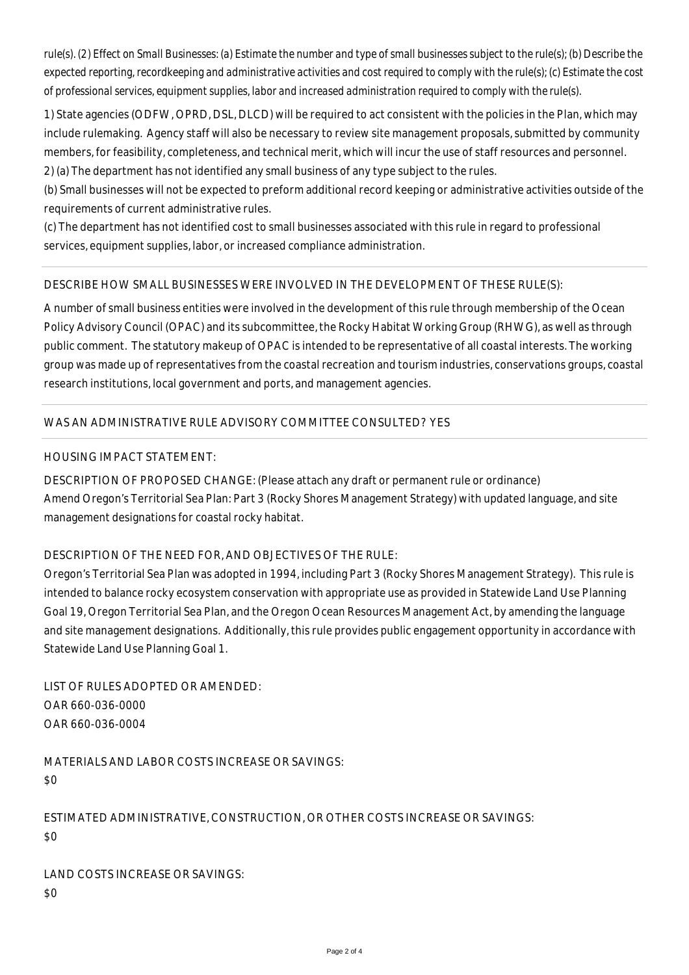*rule(s). (2) Effect on Small Businesses: (a) Estimate the number and type of small businesses subject to the rule(s); (b) Describe the expected reporting, recordkeeping and administrative activities and cost required to comply with the rule(s); (c) Estimate the cost of professional services, equipment supplies, labor and increased administration required to comply with the rule(s).*

1) State agencies (ODFW, OPRD, DSL, DLCD) will be required to act consistent with the policies in the Plan, which may include rulemaking. Agency staff will also be necessary to review site management proposals, submitted by community members, for feasibility, completeness, and technical merit, which will incur the use of staff resources and personnel.

2) (a) The department has not identified any small business of any type subject to the rules.

(b) Small businesses will not be expected to preform additional record keeping or administrative activities outside of the requirements of current administrative rules.

(c) The department has not identified cost to small businesses associated with this rule in regard to professional services, equipment supplies, labor, or increased compliance administration.

# DESCRIBE HOW SMALL BUSINESSES WERE INVOLVED IN THE DEVELOPMENT OF THESE RULE(S):

A number of small business entities were involved in the development of this rule through membership of the Ocean Policy Advisory Council (OPAC) and its subcommittee, the Rocky Habitat Working Group (RHWG), as well as through public comment. The statutory makeup of OPAC is intended to be representative of all coastal interests. The working group was made up of representatives from the coastal recreation and tourism industries, conservations groups, coastal research institutions, local government and ports, and management agencies.

# WAS AN ADMINISTRATIVE RULE ADVISORY COMMITTEE CONSULTED? YES

#### HOUSING IMPACT STATEMENT:

DESCRIPTION OF PROPOSED CHANGE: (Please attach any draft or permanent rule or ordinance) Amend Oregon's Territorial Sea Plan: Part 3 (Rocky Shores Management Strategy) with updated language, and site management designations for coastal rocky habitat.

# DESCRIPTION OF THE NEED FOR, AND OBJECTIVES OF THE RULE:

Oregon's Territorial Sea Plan was adopted in 1994, including Part 3 (Rocky Shores Management Strategy). This rule is intended to balance rocky ecosystem conservation with appropriate use as provided in Statewide Land Use Planning Goal 19, Oregon Territorial Sea Plan, and the Oregon Ocean Resources Management Act, by amending the language and site management designations. Additionally, this rule provides public engagement opportunity in accordance with Statewide Land Use Planning Goal 1.

LIST OF RULES ADOPTED OR AMENDED: OAR 660-036-0000 OAR 660-036-0004

MATERIALS AND LABOR COSTS INCREASE OR SAVINGS: \$0

ESTIMATED ADMINISTRATIVE, CONSTRUCTION, OR OTHER COSTS INCREASE OR SAVINGS: \$0

LAND COSTS INCREASE OR SAVINGS: \$0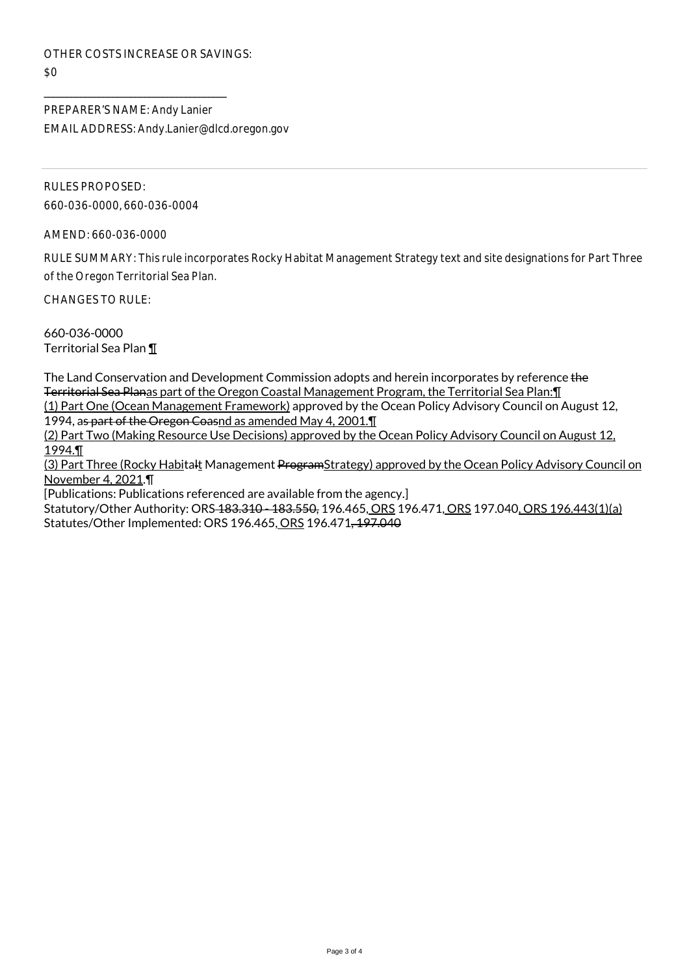OTHER COSTS INCREASE OR SAVINGS:  $$0$ 

\_\_\_\_\_\_\_\_\_\_\_\_\_\_\_\_\_\_\_\_\_\_\_\_\_\_\_\_\_\_\_\_\_\_\_\_\_\_\_\_

PREPARER'S NAME: Andy Lanier EMAIL ADDRESS: Andy.Lanier@dlcd.oregon.gov

RULES PROPOSED: 660-036-0000, 660-036-0004

AMEND: 660-036-0000

RULE SUMMARY: This rule incorporates Rocky Habitat Management Strategy text and site designations for Part Three of the Oregon Territorial Sea Plan.

CHANGES TO RULE:

660-036-0000 Territorial Sea Plan ¶

The Land Conservation and Development Commission adopts and herein incorporates by reference the Territorial Sea Planas part of the Oregon Coastal Management Program, the Territorial Sea Plan:¶ (1) Part One (Ocean Management Framework) approved by the Ocean Policy Advisory Council on August 12,

1994, as part of the Oregon Coasnd as amended May 4, 2001.

(2) Part Two (Making Resource Use Decisions) approved by the Ocean Policy Advisory Council on August 12, 1994.¶

(3) Part Three (Rocky Habitalt Management ProgramStrategy) approved by the Ocean Policy Advisory Council on November 4, 2021.¶

[Publications: Publications referenced are available from the agency.]

Statutory/Other Authority: ORS-183.310 - 183.550, 196.465, ORS 196.471, ORS 197.040, ORS 196.443(1)(a) Statutes/Other Implemented: ORS 196.465, ORS 196.471, 197.040